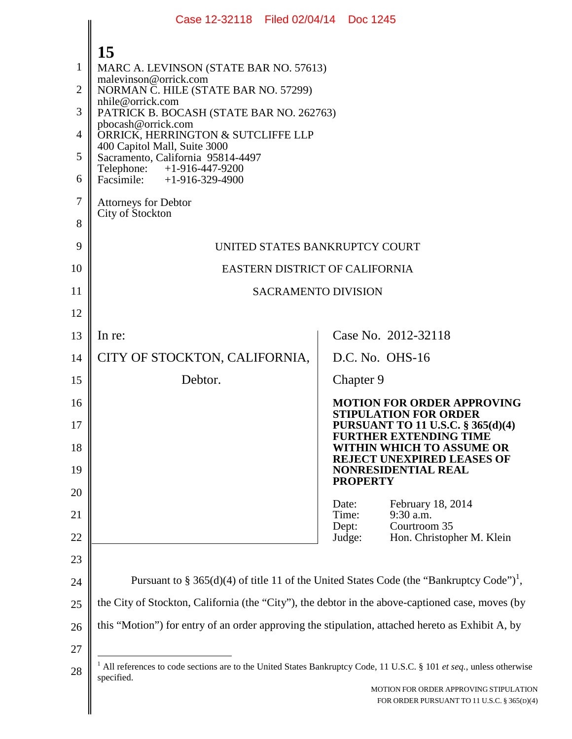|    | Case 12-32118 Filed 02/04/14 Doc 1245                                                                                             |                                                                                                      |  |  |
|----|-----------------------------------------------------------------------------------------------------------------------------------|------------------------------------------------------------------------------------------------------|--|--|
|    | 15                                                                                                                                |                                                                                                      |  |  |
| 1  | MARC A. LEVINSON (STATE BAR NO. 57613)                                                                                            |                                                                                                      |  |  |
| 2  | malevinson@orrick.com<br>NORMAN C. HILE (STATE BAR NO. 57299)                                                                     |                                                                                                      |  |  |
| 3  | nhile@orrick.com<br>PATRICK B. BOCASH (STATE BAR NO. 262763)                                                                      |                                                                                                      |  |  |
| 4  | pbocash@orrick.com<br>ORRICK, HERRINGTON & SUTCLIFFE LLP                                                                          |                                                                                                      |  |  |
| 5  | 400 Capitol Mall, Suite 3000<br>Sacramento, California 95814-4497                                                                 |                                                                                                      |  |  |
| 6  | Telephone: +1-916-447-9200<br>Facsimile: $+1-916-329-4900$                                                                        |                                                                                                      |  |  |
| 7  | <b>Attorneys for Debtor</b><br>City of Stockton                                                                                   |                                                                                                      |  |  |
| 8  |                                                                                                                                   |                                                                                                      |  |  |
| 9  | UNITED STATES BANKRUPTCY COURT                                                                                                    |                                                                                                      |  |  |
| 10 | EASTERN DISTRICT OF CALIFORNIA                                                                                                    |                                                                                                      |  |  |
| 11 | <b>SACRAMENTO DIVISION</b>                                                                                                        |                                                                                                      |  |  |
| 12 |                                                                                                                                   |                                                                                                      |  |  |
| 13 | In re:                                                                                                                            | Case No. 2012-32118                                                                                  |  |  |
| 14 | CITY OF STOCKTON, CALIFORNIA,                                                                                                     | $D.C. No. OHS-16$                                                                                    |  |  |
| 15 | Debtor.                                                                                                                           | Chapter 9                                                                                            |  |  |
| 16 |                                                                                                                                   | <b>MOTION FOR ORDER APPROVING</b><br><b>STIPULATION FOR ORDER</b>                                    |  |  |
| 17 |                                                                                                                                   | <b>PURSUANT TO 11 U.S.C. § 365(d)(4)</b><br><b>FURTHER EXTENDING TIME</b>                            |  |  |
| 18 |                                                                                                                                   | WITHIN WHICH TO ASSUME OR<br>REJECT UNEXPIRED LEASES OF                                              |  |  |
| 19 |                                                                                                                                   | <b>NONRESIDENTIAL REAL</b><br><b>PROPERTY</b>                                                        |  |  |
| 20 |                                                                                                                                   | Date:<br>February 18, 2014                                                                           |  |  |
| 21 |                                                                                                                                   | $9:30$ a.m.<br>Time:<br>Courtroom 35<br>Dept:                                                        |  |  |
| 22 |                                                                                                                                   | Judge:<br>Hon. Christopher M. Klein                                                                  |  |  |
| 23 |                                                                                                                                   |                                                                                                      |  |  |
| 24 |                                                                                                                                   | Pursuant to § 365(d)(4) of title 11 of the United States Code (the "Bankruptcy Code") <sup>1</sup> , |  |  |
| 25 | the City of Stockton, California (the "City"), the debtor in the above-captioned case, moves (by                                  |                                                                                                      |  |  |
| 26 | this "Motion") for entry of an order approving the stipulation, attached hereto as Exhibit A, by                                  |                                                                                                      |  |  |
| 27 |                                                                                                                                   |                                                                                                      |  |  |
| 28 | All references to code sections are to the United States Bankruptcy Code, 11 U.S.C. § 101 et seq., unless otherwise<br>specified. |                                                                                                      |  |  |
|    |                                                                                                                                   | MOTION FOR ORDER APPROVING STIPULATION<br>FOR ORDER PURSUANT TO 11 U.S.C. § 365(D)(4)                |  |  |
|    |                                                                                                                                   |                                                                                                      |  |  |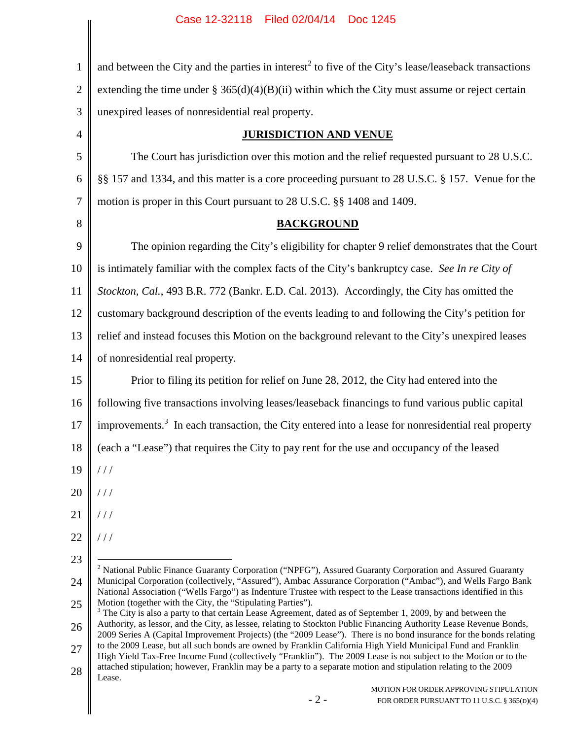1 2 3 4 5 6 7 8 9 10 11 12 13 14 15 16 17 18 19 20 21 22 23 24 25 26 27 28 and between the City and the parties in interest<sup>2</sup> to five of the City's lease/leaseback transactions extending the time under  $\S 365(d)(4)(B)(ii)$  within which the City must assume or reject certain unexpired leases of nonresidential real property. **JURISDICTION AND VENUE** The Court has jurisdiction over this motion and the relief requested pursuant to 28 U.S.C. §§ 157 and 1334, and this matter is a core proceeding pursuant to 28 U.S.C. § 157. Venue for the motion is proper in this Court pursuant to 28 U.S.C. §§ 1408 and 1409. **BACKGROUND** The opinion regarding the City's eligibility for chapter 9 relief demonstrates that the Court is intimately familiar with the complex facts of the City's bankruptcy case. *See In re City of Stockton, Cal.*, 493 B.R. 772 (Bankr. E.D. Cal. 2013). Accordingly, the City has omitted the customary background description of the events leading to and following the City's petition for relief and instead focuses this Motion on the background relevant to the City's unexpired leases of nonresidential real property. Prior to filing its petition for relief on June 28, 2012, the City had entered into the following five transactions involving leases/leaseback financings to fund various public capital improvements.<sup>3</sup> In each transaction, the City entered into a lease for nonresidential real property (each a "Lease") that requires the City to pay rent for the use and occupancy of the leased  $//$ / / /  $//$ / / / <sup>2</sup> National Public Finance Guaranty Corporation ("NPFG"), Assured Guaranty Corporation and Assured Guaranty Municipal Corporation (collectively, "Assured"), Ambac Assurance Corporation ("Ambac"), and Wells Fargo Bank National Association ("Wells Fargo") as Indenture Trustee with respect to the Lease transactions identified in this Motion (together with the City, the "Stipulating Parties").  $3$  The City is also a party to that certain Lease Agreement, dated as of September 1, 2009, by and between the Authority, as lessor, and the City, as lessee, relating to Stockton Public Financing Authority Lease Revenue Bonds, 2009 Series A (Capital Improvement Projects) (the "2009 Lease"). There is no bond insurance for the bonds relating to the 2009 Lease, but all such bonds are owned by Franklin California High Yield Municipal Fund and Franklin High Yield Tax-Free Income Fund (collectively "Franklin"). The 2009 Lease is not subject to the Motion or to the attached stipulation; however, Franklin may be a party to a separate motion and stipulation relating to the 2009 Lease.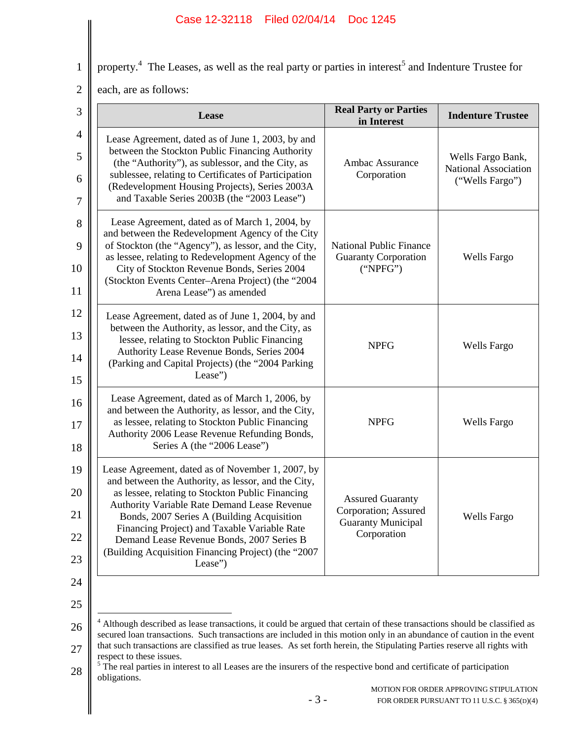property.<sup>4</sup> The Leases, as well as the real party or parties in interest<sup>5</sup> and Indenture Trustee for

2 each, are as follows:

| <b>Ambac Assurance</b><br>Corporation<br><b>National Public Finance</b><br><b>Guaranty Corporation</b><br>("NPEG")<br><b>NPFG</b> | Wells Fargo Bank,<br>National Association<br>("Wells Fargo")<br><b>Wells Fargo</b><br><b>Wells Fargo</b>                                                                                                                                                                                                                                                     |
|-----------------------------------------------------------------------------------------------------------------------------------|--------------------------------------------------------------------------------------------------------------------------------------------------------------------------------------------------------------------------------------------------------------------------------------------------------------------------------------------------------------|
|                                                                                                                                   |                                                                                                                                                                                                                                                                                                                                                              |
|                                                                                                                                   |                                                                                                                                                                                                                                                                                                                                                              |
|                                                                                                                                   |                                                                                                                                                                                                                                                                                                                                                              |
| <b>NPFG</b>                                                                                                                       | Wells Fargo                                                                                                                                                                                                                                                                                                                                                  |
|                                                                                                                                   | <b>Wells Fargo</b>                                                                                                                                                                                                                                                                                                                                           |
|                                                                                                                                   | <b>Assured Guaranty</b><br>Corporation; Assured<br><b>Guaranty Municipal</b><br>Corporation<br><sup>4</sup> Although described as lease transactions, it could be argued that certain of these transactions should be classified as<br>secured loan transactions. Such transactions are included in this motion only in an abundance of caution in the event |

<sup>28</sup> <sup>5</sup> The real parties in interest to all Leases are the insurers of the respective bond and certificate of participation obligations.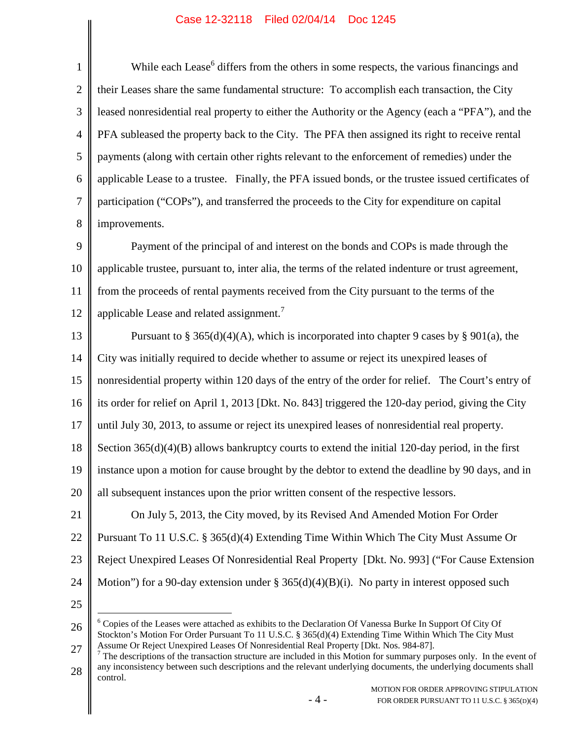1 2 3 4 5 6 7 8 While each Lease<sup>6</sup> differs from the others in some respects, the various financings and their Leases share the same fundamental structure: To accomplish each transaction, the City leased nonresidential real property to either the Authority or the Agency (each a "PFA"), and the PFA subleased the property back to the City. The PFA then assigned its right to receive rental payments (along with certain other rights relevant to the enforcement of remedies) under the applicable Lease to a trustee. Finally, the PFA issued bonds, or the trustee issued certificates of participation ("COPs"), and transferred the proceeds to the City for expenditure on capital improvements.

9 10 11 12 Payment of the principal of and interest on the bonds and COPs is made through the applicable trustee, pursuant to, inter alia, the terms of the related indenture or trust agreement, from the proceeds of rental payments received from the City pursuant to the terms of the applicable Lease and related assignment.<sup>7</sup>

13 14 15 16 17 18 19 20 21 Pursuant to § 365(d)(4)(A), which is incorporated into chapter 9 cases by § 901(a), the City was initially required to decide whether to assume or reject its unexpired leases of nonresidential property within 120 days of the entry of the order for relief. The Court's entry of its order for relief on April 1, 2013 [Dkt. No. 843] triggered the 120-day period, giving the City until July 30, 2013, to assume or reject its unexpired leases of nonresidential real property. Section 365(d)(4)(B) allows bankruptcy courts to extend the initial 120-day period, in the first instance upon a motion for cause brought by the debtor to extend the deadline by 90 days, and in all subsequent instances upon the prior written consent of the respective lessors.

22 23 24 On July 5, 2013, the City moved, by its Revised And Amended Motion For Order Pursuant To 11 U.S.C. § 365(d)(4) Extending Time Within Which The City Must Assume Or Reject Unexpired Leases Of Nonresidential Real Property [Dkt. No. 993] ("For Cause Extension Motion") for a 90-day extension under  $\S 365(d)(4)(B)(i)$ . No party in interest opposed such

25

26 27 <sup>6</sup> Copies of the Leases were attached as exhibits to the Declaration Of Vanessa Burke In Support Of City Of Stockton's Motion For Order Pursuant To 11 U.S.C. § 365(d)(4) Extending Time Within Which The City Must Assume Or Reject Unexpired Leases Of Nonresidential Real Property [Dkt. Nos. 984-87].

28  $<sup>7</sup>$  The descriptions of the transaction structure are included in this Motion for summary purposes only. In the event of</sup> any inconsistency between such descriptions and the relevant underlying documents, the underlying documents shall control.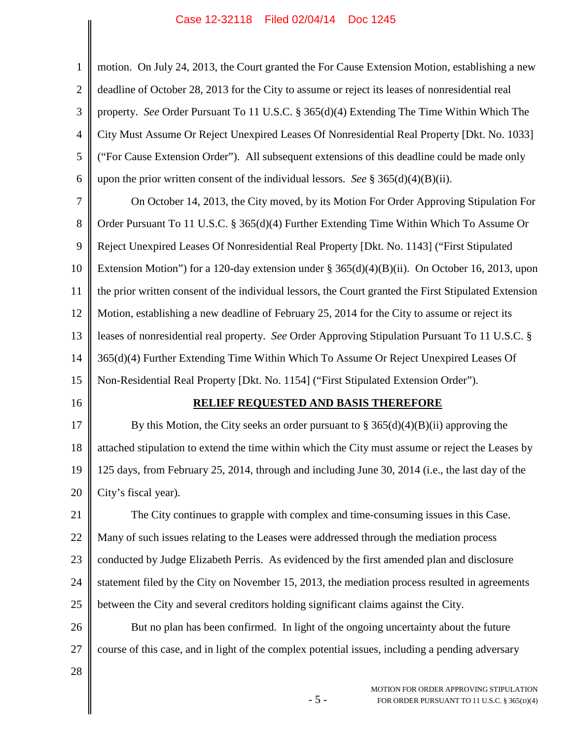| $\mathbf{1}$     | motion. On July 24, 2013, the Court granted the For Cause Extension Motion, establishing a new        |
|------------------|-------------------------------------------------------------------------------------------------------|
| $\overline{2}$   | deadline of October 28, 2013 for the City to assume or reject its leases of nonresidential real       |
| 3                | property. See Order Pursuant To 11 U.S.C. § 365(d)(4) Extending The Time Within Which The             |
| $\overline{4}$   | City Must Assume Or Reject Unexpired Leases Of Nonresidential Real Property [Dkt. No. 1033]           |
| 5                | ("For Cause Extension Order"). All subsequent extensions of this deadline could be made only          |
| 6                | upon the prior written consent of the individual lessors. See § 365(d)(4)(B)(ii).                     |
| $\boldsymbol{7}$ | On October 14, 2013, the City moved, by its Motion For Order Approving Stipulation For                |
| 8                | Order Pursuant To 11 U.S.C. § 365(d)(4) Further Extending Time Within Which To Assume Or              |
| 9                | Reject Unexpired Leases Of Nonresidential Real Property [Dkt. No. 1143] ("First Stipulated            |
| 10               | Extension Motion") for a 120-day extension under $\S 365(d)(4)(B)(ii)$ . On October 16, 2013, upon    |
| 11               | the prior written consent of the individual lessors, the Court granted the First Stipulated Extension |
| 12               | Motion, establishing a new deadline of February 25, 2014 for the City to assume or reject its         |
| 13               | leases of nonresidential real property. See Order Approving Stipulation Pursuant To 11 U.S.C. §       |
| 14               | 365(d)(4) Further Extending Time Within Which To Assume Or Reject Unexpired Leases Of                 |
| 15               | Non-Residential Real Property [Dkt. No. 1154] ("First Stipulated Extension Order").                   |
| 16               | <b>RELIEF REQUESTED AND BASIS THEREFORE</b>                                                           |
| 17               | By this Motion, the City seeks an order pursuant to $\S 365(d)(4)(B)(ii)$ approving the               |
| 18               | attached stipulation to extend the time within which the City must assume or reject the Leases by     |
| 19               | 125 days, from February 25, 2014, through and including June 30, 2014 (i.e., the last day of the      |
| 20               | City's fiscal year).                                                                                  |
| 21               | The City continues to grapple with complex and time-consuming issues in this Case.                    |
| 22               | Many of such issues relating to the Leases were addressed through the mediation process               |
| 23               | conducted by Judge Elizabeth Perris. As evidenced by the first amended plan and disclosure            |
| 24               | statement filed by the City on November 15, 2013, the mediation process resulted in agreements        |
| 25               | between the City and several creditors holding significant claims against the City.                   |
| 26               | But no plan has been confirmed. In light of the ongoing uncertainty about the future                  |
| 27               | course of this case, and in light of the complex potential issues, including a pending adversary      |
| 28               |                                                                                                       |
|                  | MOTION FOR ORDER APPROVING STIPHI ATION                                                               |

- 5 -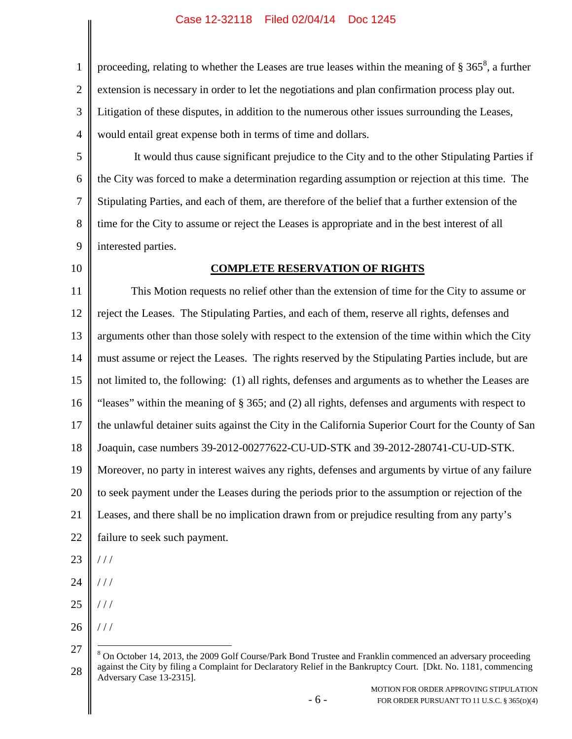1 2 3 4 proceeding, relating to whether the Leases are true leases within the meaning of  $\S 365^8$ , a further extension is necessary in order to let the negotiations and plan confirmation process play out. Litigation of these disputes, in addition to the numerous other issues surrounding the Leases, would entail great expense both in terms of time and dollars.

5 6 7 8 9 It would thus cause significant prejudice to the City and to the other Stipulating Parties if the City was forced to make a determination regarding assumption or rejection at this time. The Stipulating Parties, and each of them, are therefore of the belief that a further extension of the time for the City to assume or reject the Leases is appropriate and in the best interest of all interested parties.

10

#### **COMPLETE RESERVATION OF RIGHTS**

11 12 13 14 15 16 17 18 19 20 21 22 23 24 This Motion requests no relief other than the extension of time for the City to assume or reject the Leases. The Stipulating Parties, and each of them, reserve all rights, defenses and arguments other than those solely with respect to the extension of the time within which the City must assume or reject the Leases. The rights reserved by the Stipulating Parties include, but are not limited to, the following: (1) all rights, defenses and arguments as to whether the Leases are "leases" within the meaning of § 365; and (2) all rights, defenses and arguments with respect to the unlawful detainer suits against the City in the California Superior Court for the County of San Joaquin, case numbers 39-2012-00277622-CU-UD-STK and 39-2012-280741-CU-UD-STK. Moreover, no party in interest waives any rights, defenses and arguments by virtue of any failure to seek payment under the Leases during the periods prior to the assumption or rejection of the Leases, and there shall be no implication drawn from or prejudice resulting from any party's failure to seek such payment. / / / / / /

- 25 / / /
- 26 / / /

<sup>27</sup> 28 <sup>8</sup> On October 14, 2013, the 2009 Golf Course/Park Bond Trustee and Franklin commenced an adversary proceeding against the City by filing a Complaint for Declaratory Relief in the Bankruptcy Court. [Dkt. No. 1181, commencing Adversary Case 13-2315].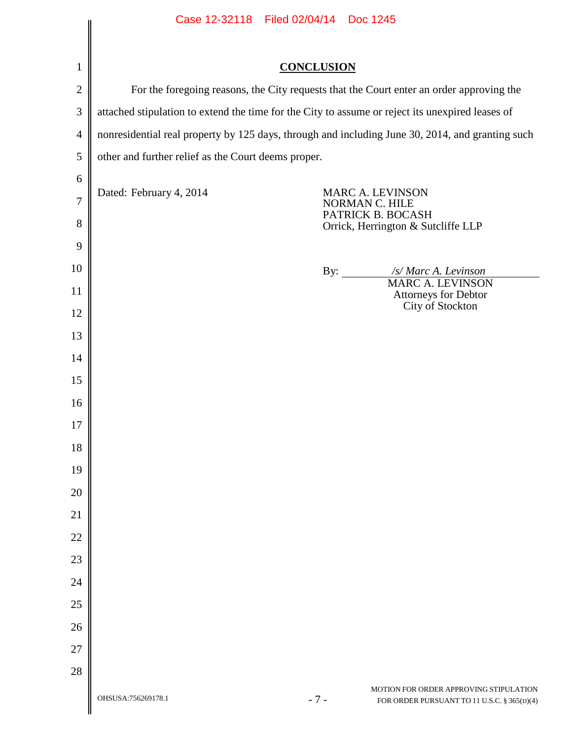|                | Case 12-32118 Filed 02/04/14 Doc 1245                                                            |                   |                                                                                       |  |
|----------------|--------------------------------------------------------------------------------------------------|-------------------|---------------------------------------------------------------------------------------|--|
|                |                                                                                                  |                   |                                                                                       |  |
| 1              |                                                                                                  | <b>CONCLUSION</b> |                                                                                       |  |
| $\mathbf{2}$   | For the foregoing reasons, the City requests that the Court enter an order approving the         |                   |                                                                                       |  |
| $\mathfrak{Z}$ | attached stipulation to extend the time for the City to assume or reject its unexpired leases of |                   |                                                                                       |  |
| $\overline{4}$ | nonresidential real property by 125 days, through and including June 30, 2014, and granting such |                   |                                                                                       |  |
| $\mathfrak{S}$ | other and further relief as the Court deems proper.                                              |                   |                                                                                       |  |
| 6              |                                                                                                  |                   |                                                                                       |  |
| $\overline{7}$ | Dated: February 4, 2014                                                                          |                   | MARC A. LEVINSON<br>NORMAN C. HILE                                                    |  |
| 8              |                                                                                                  |                   | PATRICK B. BOCASH<br>Orrick, Herrington & Sutcliffe LLP                               |  |
| 9              |                                                                                                  |                   |                                                                                       |  |
| 10             |                                                                                                  |                   | /s/ Marc A. Levinson<br>By: $\qquad \qquad$                                           |  |
| 11             |                                                                                                  |                   | <b>MARC A. LEVINSON</b><br>Attorneys for Debtor                                       |  |
| 12             |                                                                                                  |                   | City of Stockton                                                                      |  |
| 13             |                                                                                                  |                   |                                                                                       |  |
| 14             |                                                                                                  |                   |                                                                                       |  |
| 15             |                                                                                                  |                   |                                                                                       |  |
| 16             |                                                                                                  |                   |                                                                                       |  |
| 17             |                                                                                                  |                   |                                                                                       |  |
| 18             |                                                                                                  |                   |                                                                                       |  |
| 19             |                                                                                                  |                   |                                                                                       |  |
| 20             |                                                                                                  |                   |                                                                                       |  |
| 21             |                                                                                                  |                   |                                                                                       |  |
| 22             |                                                                                                  |                   |                                                                                       |  |
| 23             |                                                                                                  |                   |                                                                                       |  |
| 24             |                                                                                                  |                   |                                                                                       |  |
| 25             |                                                                                                  |                   |                                                                                       |  |
| 26             |                                                                                                  |                   |                                                                                       |  |
| 27             |                                                                                                  |                   |                                                                                       |  |
| 28             |                                                                                                  |                   |                                                                                       |  |
|                | OHSUSA:756269178.1                                                                               | $-7-$             | MOTION FOR ORDER APPROVING STIPULATION<br>FOR ORDER PURSUANT TO 11 U.S.C. § 365(D)(4) |  |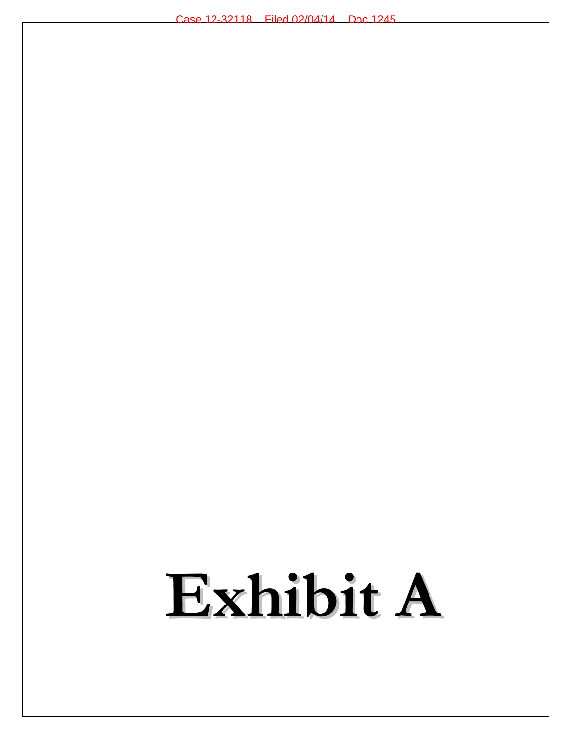# **Exhibit A**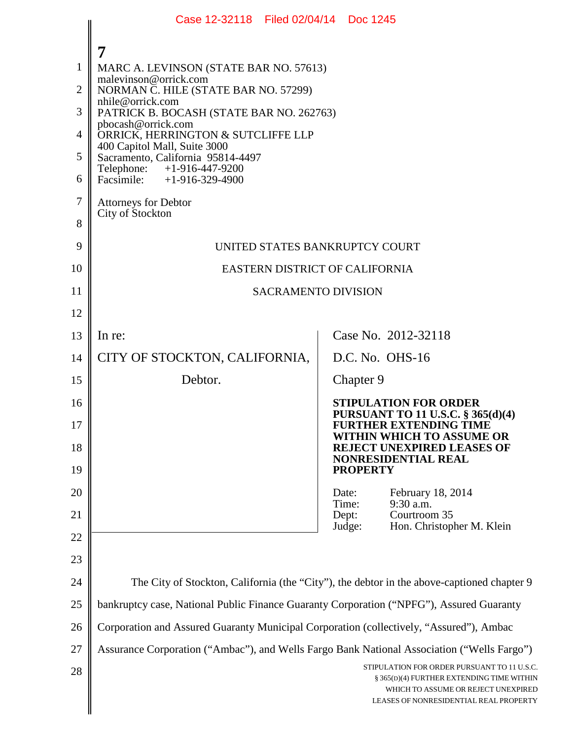|                | Case 12-32118 Filed 02/04/14 Doc 1245                                                      |                                                                                                                                                                           |  |
|----------------|--------------------------------------------------------------------------------------------|---------------------------------------------------------------------------------------------------------------------------------------------------------------------------|--|
|                | 7                                                                                          |                                                                                                                                                                           |  |
| 1              | MARC A. LEVINSON (STATE BAR NO. 57613)                                                     |                                                                                                                                                                           |  |
| $\overline{2}$ | malevinson@orrick.com<br>NORMAN C. HILE (STATE BAR NO. 57299)                              |                                                                                                                                                                           |  |
| 3              | nhile@orrick.com<br>PATRICK B. BOCASH (STATE BAR NO. 262763)                               |                                                                                                                                                                           |  |
| $\overline{4}$ | pbocash@orrick.com<br>ORRICK, HERRINGTON & SUTCLIFFE LLP                                   |                                                                                                                                                                           |  |
| 5              | 400 Capitol Mall, Suite 3000<br>Sacramento, California 95814-4497                          |                                                                                                                                                                           |  |
| 6              | Telephone: +1-916-447-9200<br>Facsimile: +1-916-329-4900                                   |                                                                                                                                                                           |  |
| 7              | <b>Attorneys for Debtor</b>                                                                |                                                                                                                                                                           |  |
| 8              | City of Stockton                                                                           |                                                                                                                                                                           |  |
| 9              | UNITED STATES BANKRUPTCY COURT                                                             |                                                                                                                                                                           |  |
| 10             | EASTERN DISTRICT OF CALIFORNIA                                                             |                                                                                                                                                                           |  |
| 11             | <b>SACRAMENTO DIVISION</b>                                                                 |                                                                                                                                                                           |  |
| 12             |                                                                                            |                                                                                                                                                                           |  |
| 13             | In re:                                                                                     | Case No. 2012-32118                                                                                                                                                       |  |
| 14             | CITY OF STOCKTON, CALIFORNIA,                                                              | D.C. No. OHS-16                                                                                                                                                           |  |
| 15             | Debtor.                                                                                    | Chapter 9                                                                                                                                                                 |  |
| 16             |                                                                                            | <b>STIPULATION FOR ORDER</b><br><b>PURSUANT TO 11 U.S.C. § 365(d)(4)</b>                                                                                                  |  |
| 17             |                                                                                            | <b>FURTHER EXTENDING TIME</b><br>WITHIN WHICH TO ASSUME OR                                                                                                                |  |
| 18             |                                                                                            | <b>REJECT UNEXPIRED LEASES OF</b><br><b>NONRESIDENTIAL REAL</b>                                                                                                           |  |
| 19             |                                                                                            | <b>PROPERTY</b>                                                                                                                                                           |  |
| 20             |                                                                                            | Date:<br>February 18, 2014<br>9:30 a.m.<br>Time:                                                                                                                          |  |
| 21             |                                                                                            | Courtroom 35<br>Dept:<br>Judge:<br>Hon. Christopher M. Klein                                                                                                              |  |
| 22             |                                                                                            |                                                                                                                                                                           |  |
| 23             |                                                                                            |                                                                                                                                                                           |  |
| 24             |                                                                                            | The City of Stockton, California (the "City"), the debtor in the above-captioned chapter 9                                                                                |  |
| 25             | bankruptcy case, National Public Finance Guaranty Corporation ("NPFG"), Assured Guaranty   |                                                                                                                                                                           |  |
| 26             | Corporation and Assured Guaranty Municipal Corporation (collectively, "Assured"), Ambac    |                                                                                                                                                                           |  |
| 27             | Assurance Corporation ("Ambac"), and Wells Fargo Bank National Association ("Wells Fargo") |                                                                                                                                                                           |  |
| 28             |                                                                                            | STIPULATION FOR ORDER PURSUANT TO 11 U.S.C.<br>§ 365(D)(4) FURTHER EXTENDING TIME WITHIN<br>WHICH TO ASSUME OR REJECT UNEXPIRED<br>LEASES OF NONRESIDENTIAL REAL PROPERTY |  |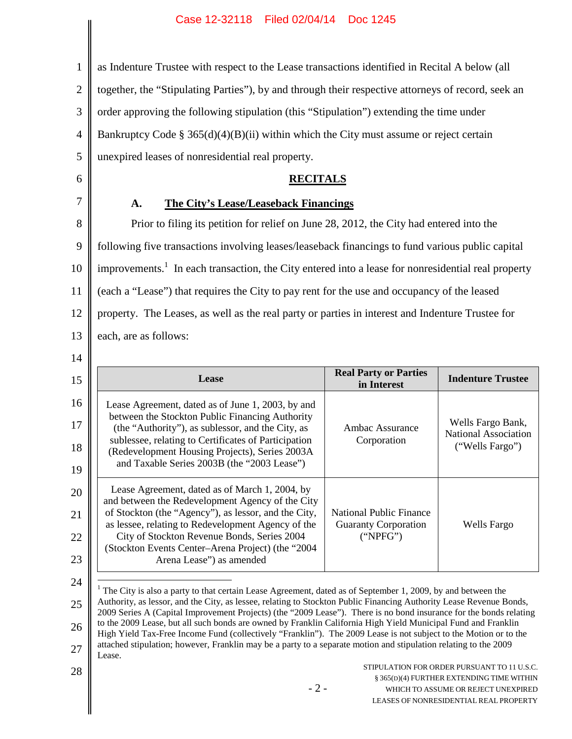as Indenture Trustee with respect to the Lease transactions identified in Recital A below (all

2 together, the "Stipulating Parties"), by and through their respective attorneys of record, seek an

3 order approving the following stipulation (this "Stipulation") extending the time under

4 Bankruptcy Code §  $365(d)(4)(B)(ii)$  within which the City must assume or reject certain

5 6

1

## **RECITALS**

## 7

**A. The City's Lease/Leaseback Financings**

unexpired leases of nonresidential real property.

8 9 10 11 12 13 Prior to filing its petition for relief on June 28, 2012, the City had entered into the following five transactions involving leases/leaseback financings to fund various public capital improvements.<sup>1</sup> In each transaction, the City entered into a lease for nonresidential real property (each a "Lease") that requires the City to pay rent for the use and occupancy of the leased property. The Leases, as well as the real party or parties in interest and Indenture Trustee for each, are as follows:

14

|                                                                                                                                                                                                                                                                                                                                                  | in Interest                                                        | <b>Indenture Trustee</b>                                     |
|--------------------------------------------------------------------------------------------------------------------------------------------------------------------------------------------------------------------------------------------------------------------------------------------------------------------------------------------------|--------------------------------------------------------------------|--------------------------------------------------------------|
| Lease Agreement, dated as of June 1, 2003, by and<br>between the Stockton Public Financing Authority<br>(the "Authority"), as sublessor, and the City, as<br>sublessee, relating to Certificates of Participation<br>(Redevelopment Housing Projects), Series 2003A<br>and Taxable Series 2003B (the "2003 Lease")                               | Ambac Assurance<br>Corporation                                     | Wells Fargo Bank,<br>National Association<br>("Wells Fargo") |
| Lease Agreement, dated as of March 1, 2004, by<br>and between the Redevelopment Agency of the City<br>of Stockton (the "Agency"), as lessor, and the City,<br>as lessee, relating to Redevelopment Agency of the<br>City of Stockton Revenue Bonds, Series 2004<br>(Stockton Events Center-Arena Project) (the "2004<br>Arena Lease") as amended | National Public Finance<br><b>Guaranty Corporation</b><br>("NPEG") | Wells Fargo                                                  |

25 26 27 <sup>1</sup> The City is also a party to that certain Lease Agreement, dated as of September 1, 2009, by and between the Authority, as lessor, and the City, as lessee, relating to Stockton Public Financing Authority Lease Revenue Bonds, 2009 Series A (Capital Improvement Projects) (the "2009 Lease"). There is no bond insurance for the bonds relating to the 2009 Lease, but all such bonds are owned by Franklin California High Yield Municipal Fund and Franklin High Yield Tax-Free Income Fund (collectively "Franklin"). The 2009 Lease is not subject to the Motion or to the attached stipulation; however, Franklin may be a party to a separate motion and stipulation relating to the 2009 Lease.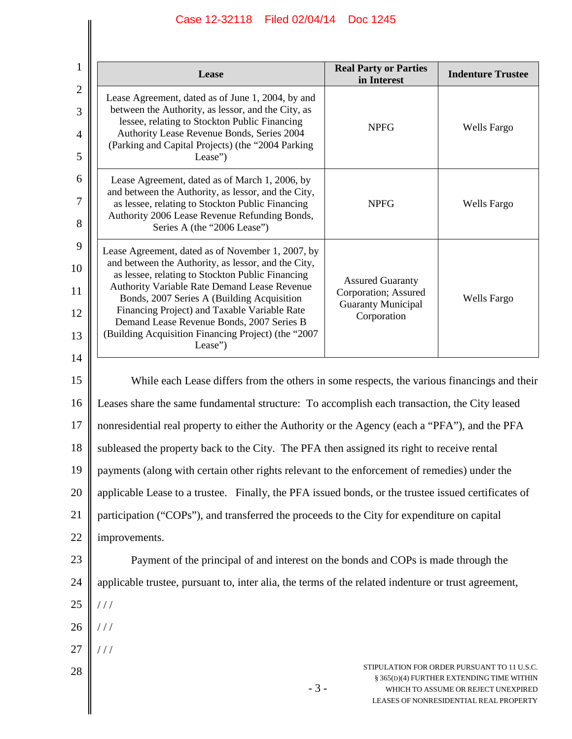|                | Lease                                                                                                                                                                                                                                                                                                                                                                                                                                                                                                                                   | <b>Real Party or Parties</b><br>in Interest | <b>Indenture Trustee</b>                                                                                                                                                  |  |  |
|----------------|-----------------------------------------------------------------------------------------------------------------------------------------------------------------------------------------------------------------------------------------------------------------------------------------------------------------------------------------------------------------------------------------------------------------------------------------------------------------------------------------------------------------------------------------|---------------------------------------------|---------------------------------------------------------------------------------------------------------------------------------------------------------------------------|--|--|
|                | Lease Agreement, dated as of June 1, 2004, by and<br>between the Authority, as lessor, and the City, as<br>lessee, relating to Stockton Public Financing<br>Authority Lease Revenue Bonds, Series 2004<br>(Parking and Capital Projects) (the "2004 Parking<br>Lease")                                                                                                                                                                                                                                                                  | <b>NPFG</b>                                 | <b>Wells Fargo</b>                                                                                                                                                        |  |  |
|                | Lease Agreement, dated as of March 1, 2006, by<br>and between the Authority, as lessor, and the City,<br>as lessee, relating to Stockton Public Financing<br>Authority 2006 Lease Revenue Refunding Bonds,<br>Series A (the "2006 Lease")                                                                                                                                                                                                                                                                                               | <b>NPFG</b>                                 | <b>Wells Fargo</b>                                                                                                                                                        |  |  |
| 10<br>12<br>14 | Lease Agreement, dated as of November 1, 2007, by<br>and between the Authority, as lessor, and the City,<br>as lessee, relating to Stockton Public Financing<br><b>Assured Guaranty</b><br>Authority Variable Rate Demand Lease Revenue<br>Corporation; Assured<br>Bonds, 2007 Series A (Building Acquisition<br>Wells Fargo<br><b>Guaranty Municipal</b><br>Financing Project) and Taxable Variable Rate<br>Corporation<br>Demand Lease Revenue Bonds, 2007 Series B<br>(Building Acquisition Financing Project) (the "2007<br>Lease") |                                             |                                                                                                                                                                           |  |  |
| 15             | While each Lease differs from the others in some respects, the various financings and their                                                                                                                                                                                                                                                                                                                                                                                                                                             |                                             |                                                                                                                                                                           |  |  |
| 16             | Leases share the same fundamental structure: To accomplish each transaction, the City leased                                                                                                                                                                                                                                                                                                                                                                                                                                            |                                             |                                                                                                                                                                           |  |  |
|                | nonresidential real property to either the Authority or the Agency (each a "PFA"), and the PFA                                                                                                                                                                                                                                                                                                                                                                                                                                          |                                             |                                                                                                                                                                           |  |  |
|                | subleased the property back to the City. The PFA then assigned its right to receive rental                                                                                                                                                                                                                                                                                                                                                                                                                                              |                                             |                                                                                                                                                                           |  |  |
|                | payments (along with certain other rights relevant to the enforcement of remedies) under the                                                                                                                                                                                                                                                                                                                                                                                                                                            |                                             |                                                                                                                                                                           |  |  |
|                | applicable Lease to a trustee. Finally, the PFA issued bonds, or the trustee issued certificates of                                                                                                                                                                                                                                                                                                                                                                                                                                     |                                             |                                                                                                                                                                           |  |  |
|                | participation ("COPs"), and transferred the proceeds to the City for expenditure on capital                                                                                                                                                                                                                                                                                                                                                                                                                                             |                                             |                                                                                                                                                                           |  |  |
|                | improvements.                                                                                                                                                                                                                                                                                                                                                                                                                                                                                                                           |                                             |                                                                                                                                                                           |  |  |
|                | Payment of the principal of and interest on the bonds and COPs is made through the                                                                                                                                                                                                                                                                                                                                                                                                                                                      |                                             |                                                                                                                                                                           |  |  |
|                | applicable trustee, pursuant to, inter alia, the terms of the related indenture or trust agreement,                                                                                                                                                                                                                                                                                                                                                                                                                                     |                                             |                                                                                                                                                                           |  |  |
|                | 111                                                                                                                                                                                                                                                                                                                                                                                                                                                                                                                                     |                                             |                                                                                                                                                                           |  |  |
|                |                                                                                                                                                                                                                                                                                                                                                                                                                                                                                                                                         |                                             |                                                                                                                                                                           |  |  |
|                | ///                                                                                                                                                                                                                                                                                                                                                                                                                                                                                                                                     |                                             |                                                                                                                                                                           |  |  |
|                | $-3-$                                                                                                                                                                                                                                                                                                                                                                                                                                                                                                                                   |                                             | STIPULATION FOR ORDER PURSUANT TO 11 U.S.C.<br>§ 365(D)(4) FURTHER EXTENDING TIME WITHIN<br>WHICH TO ASSUME OR REJECT UNEXPIRED<br>LEASES OF NONRESIDENTIAL REAL PROPERTY |  |  |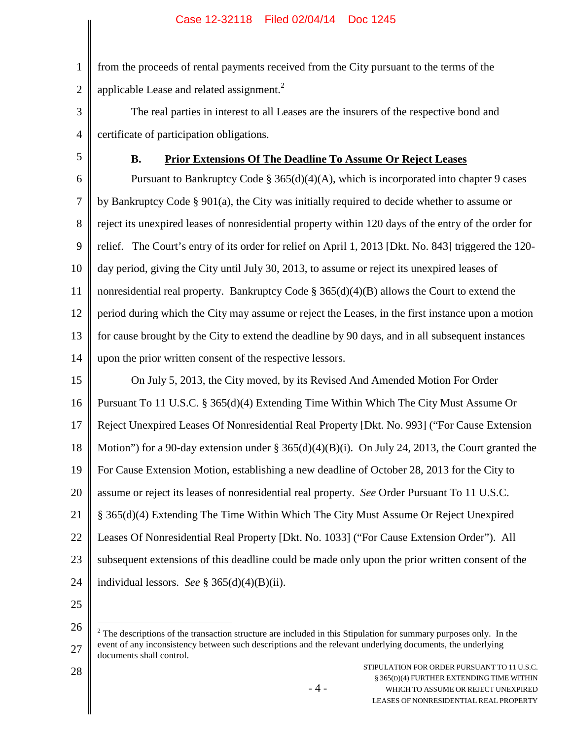1 2 from the proceeds of rental payments received from the City pursuant to the terms of the applicable Lease and related assignment.<sup>2</sup>

- 3 4 The real parties in interest to all Leases are the insurers of the respective bond and certificate of participation obligations.
- 5

#### **B. Prior Extensions Of The Deadline To Assume Or Reject Leases**

6 7 8 9 10 11 12 13 14 Pursuant to Bankruptcy Code  $\S 365(d)(4)(A)$ , which is incorporated into chapter 9 cases by Bankruptcy Code § 901(a), the City was initially required to decide whether to assume or reject its unexpired leases of nonresidential property within 120 days of the entry of the order for relief. The Court's entry of its order for relief on April 1, 2013 [Dkt. No. 843] triggered the 120 day period, giving the City until July 30, 2013, to assume or reject its unexpired leases of nonresidential real property. Bankruptcy Code  $\S 365(d)(4)(B)$  allows the Court to extend the period during which the City may assume or reject the Leases, in the first instance upon a motion for cause brought by the City to extend the deadline by 90 days, and in all subsequent instances upon the prior written consent of the respective lessors.

15 16 17 18 19 20 21 22 23 24 On July 5, 2013, the City moved, by its Revised And Amended Motion For Order Pursuant To 11 U.S.C. § 365(d)(4) Extending Time Within Which The City Must Assume Or Reject Unexpired Leases Of Nonresidential Real Property [Dkt. No. 993] ("For Cause Extension Motion") for a 90-day extension under §  $365(d)(4)(B)(i)$ . On July 24, 2013, the Court granted the For Cause Extension Motion, establishing a new deadline of October 28, 2013 for the City to assume or reject its leases of nonresidential real property. *See* Order Pursuant To 11 U.S.C. § 365(d)(4) Extending The Time Within Which The City Must Assume Or Reject Unexpired Leases Of Nonresidential Real Property [Dkt. No. 1033] ("For Cause Extension Order"). All subsequent extensions of this deadline could be made only upon the prior written consent of the individual lessors. *See* § 365(d)(4)(B)(ii).

25

<sup>26</sup> 27  $2<sup>2</sup>$  The descriptions of the transaction structure are included in this Stipulation for summary purposes only. In the event of any inconsistency between such descriptions and the relevant underlying documents, the underlying documents shall control.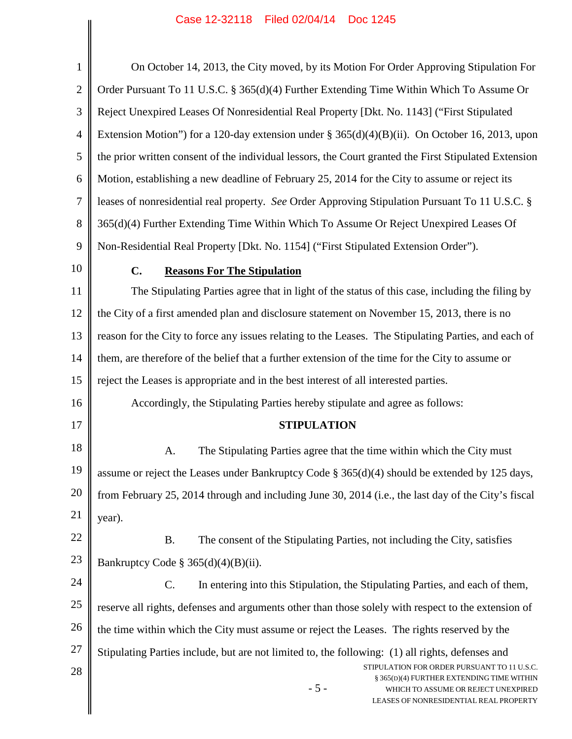| $\mathbf{1}$   | On October 14, 2013, the City moved, by its Motion For Order Approving Stipulation For                                                                                             |  |  |
|----------------|------------------------------------------------------------------------------------------------------------------------------------------------------------------------------------|--|--|
| $\overline{2}$ | Order Pursuant To 11 U.S.C. § 365(d)(4) Further Extending Time Within Which To Assume Or                                                                                           |  |  |
| 3              | Reject Unexpired Leases Of Nonresidential Real Property [Dkt. No. 1143] ("First Stipulated                                                                                         |  |  |
| $\overline{4}$ | Extension Motion") for a 120-day extension under $\S 365(d)(4)(B)(ii)$ . On October 16, 2013, upon                                                                                 |  |  |
| 5              | the prior written consent of the individual lessors, the Court granted the First Stipulated Extension                                                                              |  |  |
| 6              | Motion, establishing a new deadline of February 25, 2014 for the City to assume or reject its                                                                                      |  |  |
| $\tau$         | leases of nonresidential real property. See Order Approving Stipulation Pursuant To 11 U.S.C. §                                                                                    |  |  |
| 8              | 365(d)(4) Further Extending Time Within Which To Assume Or Reject Unexpired Leases Of                                                                                              |  |  |
| 9              | Non-Residential Real Property [Dkt. No. 1154] ("First Stipulated Extension Order").                                                                                                |  |  |
| 10             | C.<br><b>Reasons For The Stipulation</b>                                                                                                                                           |  |  |
| 11             | The Stipulating Parties agree that in light of the status of this case, including the filing by                                                                                    |  |  |
| 12             | the City of a first amended plan and disclosure statement on November 15, 2013, there is no                                                                                        |  |  |
| 13             | reason for the City to force any issues relating to the Leases. The Stipulating Parties, and each of                                                                               |  |  |
| 14             | them, are therefore of the belief that a further extension of the time for the City to assume or                                                                                   |  |  |
| 15             | reject the Leases is appropriate and in the best interest of all interested parties.                                                                                               |  |  |
| 16             | Accordingly, the Stipulating Parties hereby stipulate and agree as follows:                                                                                                        |  |  |
| 17             | <b>STIPULATION</b>                                                                                                                                                                 |  |  |
| 18             | The Stipulating Parties agree that the time within which the City must<br>A.                                                                                                       |  |  |
| 19             | assume or reject the Leases under Bankruptcy Code § 365(d)(4) should be extended by 125 days,                                                                                      |  |  |
| 20             | from February 25, 2014 through and including June 30, 2014 (i.e., the last day of the City's fiscal                                                                                |  |  |
| 21             | year).                                                                                                                                                                             |  |  |
| 22             | <b>B.</b><br>The consent of the Stipulating Parties, not including the City, satisfies                                                                                             |  |  |
| 23             | Bankruptcy Code § 365(d)(4)(B)(ii).                                                                                                                                                |  |  |
| 24             | $\mathbf{C}$ .<br>In entering into this Stipulation, the Stipulating Parties, and each of them,                                                                                    |  |  |
| 25             | reserve all rights, defenses and arguments other than those solely with respect to the extension of                                                                                |  |  |
| 26             | the time within which the City must assume or reject the Leases. The rights reserved by the                                                                                        |  |  |
| 27             | Stipulating Parties include, but are not limited to, the following: (1) all rights, defenses and                                                                                   |  |  |
| 28             | STIPULATION FOR ORDER PURSUANT TO 11 U.S.C.<br>§ 365(D)(4) FURTHER EXTENDING TIME WITHIN<br>$-5-$<br>WHICH TO ASSUME OR REJECT UNEXPIRED<br>LEASES OF NONRESIDENTIAL REAL PROPERTY |  |  |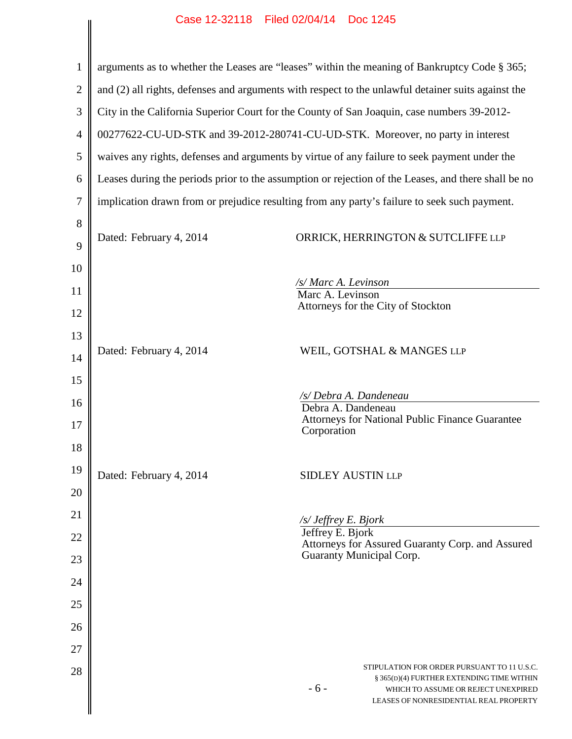| 1              | arguments as to whether the Leases are "leases" within the meaning of Bankruptcy Code § 365;        |                                                                                                                                     |  |  |  |
|----------------|-----------------------------------------------------------------------------------------------------|-------------------------------------------------------------------------------------------------------------------------------------|--|--|--|
| $\overline{2}$ | and (2) all rights, defenses and arguments with respect to the unlawful detainer suits against the  |                                                                                                                                     |  |  |  |
| 3              | City in the California Superior Court for the County of San Joaquin, case numbers 39-2012-          |                                                                                                                                     |  |  |  |
| 4              | 00277622-CU-UD-STK and 39-2012-280741-CU-UD-STK. Moreover, no party in interest                     |                                                                                                                                     |  |  |  |
| 5              | waives any rights, defenses and arguments by virtue of any failure to seek payment under the        |                                                                                                                                     |  |  |  |
| 6              | Leases during the periods prior to the assumption or rejection of the Leases, and there shall be no |                                                                                                                                     |  |  |  |
| 7              | implication drawn from or prejudice resulting from any party's failure to seek such payment.        |                                                                                                                                     |  |  |  |
| 8<br>9         | Dated: February 4, 2014                                                                             | ORRICK, HERRINGTON & SUTCLIFFE LLP                                                                                                  |  |  |  |
| 10             |                                                                                                     |                                                                                                                                     |  |  |  |
| 11             |                                                                                                     | /s/ Marc A. Levinson<br>Marc A. Levinson                                                                                            |  |  |  |
| 12             |                                                                                                     | Attorneys for the City of Stockton                                                                                                  |  |  |  |
| 13             |                                                                                                     |                                                                                                                                     |  |  |  |
| 14             | Dated: February 4, 2014                                                                             | WEIL, GOTSHAL & MANGES LLP                                                                                                          |  |  |  |
| 15             |                                                                                                     |                                                                                                                                     |  |  |  |
| 16             |                                                                                                     | /s/ Debra A. Dandeneau<br>Debra A. Dandeneau                                                                                        |  |  |  |
| 17             |                                                                                                     | <b>Attorneys for National Public Finance Guarantee</b><br>Corporation                                                               |  |  |  |
| 18             |                                                                                                     |                                                                                                                                     |  |  |  |
| 19             | Dated: February 4, 2014                                                                             | <b>SIDLEY AUSTIN LLP</b>                                                                                                            |  |  |  |
| 20             |                                                                                                     |                                                                                                                                     |  |  |  |
| 21             |                                                                                                     | /s/ Jeffrey E. Bjork<br>Jeffrey E. Bjork                                                                                            |  |  |  |
| 22             |                                                                                                     | Attorneys for Assured Guaranty Corp. and Assured<br>Guaranty Municipal Corp.                                                        |  |  |  |
| 23             |                                                                                                     |                                                                                                                                     |  |  |  |
| 24             |                                                                                                     |                                                                                                                                     |  |  |  |
| 25             |                                                                                                     |                                                                                                                                     |  |  |  |
| 26             |                                                                                                     |                                                                                                                                     |  |  |  |
| 27             |                                                                                                     | STIPULATION FOR ORDER PURSUANT TO 11 U.S.C.                                                                                         |  |  |  |
| 28             |                                                                                                     | § 365(D)(4) FURTHER EXTENDING TIME WITHIN<br>$-6-$<br>WHICH TO ASSUME OR REJECT UNEXPIRED<br>LEASES OF NONRESIDENTIAL REAL PROPERTY |  |  |  |